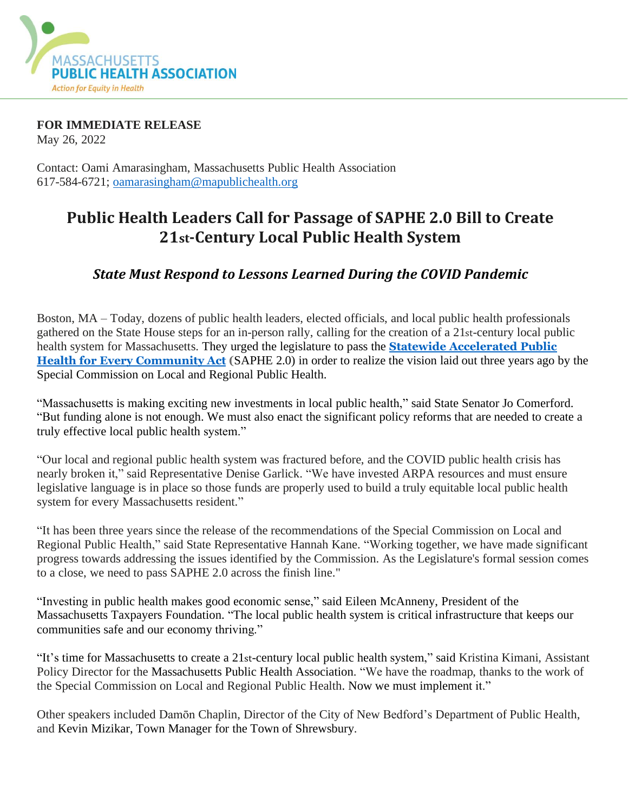

**FOR IMMEDIATE RELEASE**

May 26, 2022

Contact: Oami Amarasingham, Massachusetts Public Health Association 617-584-6721; [oamarasingham@mapublichealth.org](mailto:oamarasingham@mapublichealth.org)

## **Public Health Leaders Call for Passage of SAPHE 2.0 Bill to Create 21st-Century Local Public Health System**

## *State Must Respond to Lessons Learned During the COVID Pandemic*

Boston, MA – Today, dozens of public health leaders, elected officials, and local public health professionals gathered on the State House steps for an in-person rally, calling for the creation of a 21st-century local public health system for Massachusetts. They urged the legislature to pass the **Statewide [Accelerated](https://nam12.safelinks.protection.outlook.com/?url=https%3A%2F%2Fmapublichealth.org%2Fwp-content%2Fuploads%2F2022%2F04%2F2022-SAPHE-2.0-Fact-Sheet-.pdf&data=05%7C01%7C%7Cacbd6b2501d24f21182108da3f116cb7%7C84df9e7fe9f640afb435aaaaaaaaaaaa%7C1%7C0%7C637891641323265989%7CUnknown%7CTWFpbGZsb3d8eyJWIjoiMC4wLjAwMDAiLCJQIjoiV2luMzIiLCJBTiI6Ik1haWwiLCJXVCI6Mn0%3D%7C3000%7C%7C%7C&sdata=qYt5dLKmizClzmFM%2FTWnp6mpbG5VGP58uHscIArEtps%3D&reserved=0) Public Health for Every [Community](https://nam12.safelinks.protection.outlook.com/?url=https%3A%2F%2Fmapublichealth.org%2Fwp-content%2Fuploads%2F2022%2F04%2F2022-SAPHE-2.0-Fact-Sheet-.pdf&data=05%7C01%7C%7Cacbd6b2501d24f21182108da3f116cb7%7C84df9e7fe9f640afb435aaaaaaaaaaaa%7C1%7C0%7C637891641323265989%7CUnknown%7CTWFpbGZsb3d8eyJWIjoiMC4wLjAwMDAiLCJQIjoiV2luMzIiLCJBTiI6Ik1haWwiLCJXVCI6Mn0%3D%7C3000%7C%7C%7C&sdata=qYt5dLKmizClzmFM%2FTWnp6mpbG5VGP58uHscIArEtps%3D&reserved=0) Act (**SAPHE 2.0) in order to realize the vision laid out three years ago by the Special Commission on Local and Regional Public Health.

"Massachusetts is making exciting new investments in local public health," said State Senator Jo Comerford. "But funding alone is not enough. We must also enact the significant policy reforms that are needed to create a truly effective local public health system."

"Our local and regional public health system was fractured before, and the COVID public health crisis has nearly broken it," said Representative Denise Garlick. "We have invested ARPA resources and must ensure legislative language is in place so those funds are properly used to build a truly equitable local public health system for every Massachusetts resident."

"It has been three years since the release of the recommendations of the Special Commission on Local and Regional Public Health," said State Representative Hannah Kane. "Working together, we have made significant progress towards addressing the issues identified by the Commission. As the Legislature's formal session comes to a close, we need to pass SAPHE 2.0 across the finish line."

"Investing in public health makes good economic sense," said Eileen McAnneny, President of the Massachusetts Taxpayers Foundation. "The local public health system is critical infrastructure that keeps our communities safe and our economy thriving."

"It's time for Massachusetts to create a 21st-century local public health system," said Kristina Kimani, Assistant Policy Director for the Massachusetts Public Health Association. "We have the roadmap, thanks to the work of the Special Commission on Local and Regional Public Health. Now we must implement it."

Other speakers included Damōn Chaplin, Director of the City of New Bedford's Department of Public Health, and Kevin Mizikar, Town Manager for the Town of Shrewsbury.